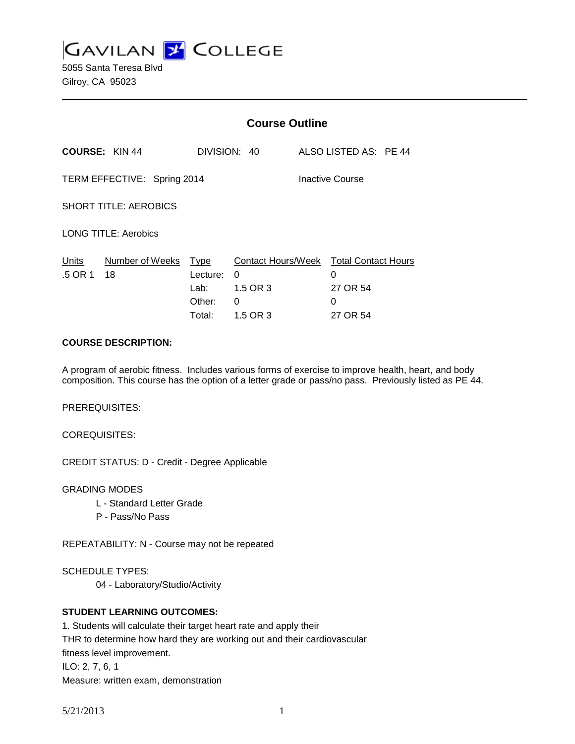**GAVILAN J COLLEGE** 

5055 Santa Teresa Blvd Gilroy, CA 95023

|                              |                       | <b>Course Outline</b>                               |                                |                 |                                                                          |
|------------------------------|-----------------------|-----------------------------------------------------|--------------------------------|-----------------|--------------------------------------------------------------------------|
| <b>COURSE: KIN 44</b>        |                       |                                                     | DIVISION: 40                   |                 | ALSO LISTED AS: PE 44                                                    |
| TERM EFFECTIVE: Spring 2014  |                       |                                                     |                                | Inactive Course |                                                                          |
| <b>SHORT TITLE: AEROBICS</b> |                       |                                                     |                                |                 |                                                                          |
| <b>LONG TITLE: Aerobics</b>  |                       |                                                     |                                |                 |                                                                          |
| Units<br>.5 OR 1             | Number of Weeks<br>18 | <u>Type</u><br>Lecture:<br>Lab:<br>Other:<br>Total: | 0<br>1.5 OR 3<br>0<br>1.5 OR 3 |                 | Contact Hours/Week Total Contact Hours<br>0<br>27 OR 54<br>0<br>27 OR 54 |

#### **COURSE DESCRIPTION:**

A program of aerobic fitness. Includes various forms of exercise to improve health, heart, and body composition. This course has the option of a letter grade or pass/no pass. Previously listed as PE 44.

PREREQUISITES:

COREQUISITES:

CREDIT STATUS: D - Credit - Degree Applicable

GRADING MODES

- L Standard Letter Grade
- P Pass/No Pass

REPEATABILITY: N - Course may not be repeated

SCHEDULE TYPES: 04 - Laboratory/Studio/Activity

### **STUDENT LEARNING OUTCOMES:**

1. Students will calculate their target heart rate and apply their THR to determine how hard they are working out and their cardiovascular fitness level improvement. ILO: 2, 7, 6, 1 Measure: written exam, demonstration

5/21/2013 1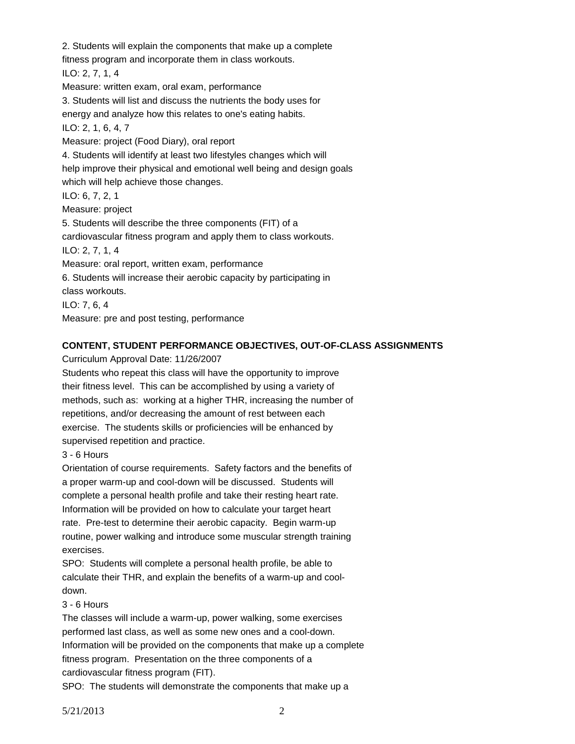2. Students will explain the components that make up a complete fitness program and incorporate them in class workouts. ILO: 2, 7, 1, 4 Measure: written exam, oral exam, performance 3. Students will list and discuss the nutrients the body uses for energy and analyze how this relates to one's eating habits. ILO: 2, 1, 6, 4, 7 Measure: project (Food Diary), oral report 4. Students will identify at least two lifestyles changes which will help improve their physical and emotional well being and design goals which will help achieve those changes. ILO: 6, 7, 2, 1 Measure: project 5. Students will describe the three components (FIT) of a cardiovascular fitness program and apply them to class workouts. ILO: 2, 7, 1, 4 Measure: oral report, written exam, performance 6. Students will increase their aerobic capacity by participating in class workouts. ILO: 7, 6, 4 Measure: pre and post testing, performance

#### **CONTENT, STUDENT PERFORMANCE OBJECTIVES, OUT-OF-CLASS ASSIGNMENTS**

Curriculum Approval Date: 11/26/2007

Students who repeat this class will have the opportunity to improve their fitness level. This can be accomplished by using a variety of methods, such as: working at a higher THR, increasing the number of repetitions, and/or decreasing the amount of rest between each exercise. The students skills or proficiencies will be enhanced by supervised repetition and practice.

3 - 6 Hours

Orientation of course requirements. Safety factors and the benefits of a proper warm-up and cool-down will be discussed. Students will complete a personal health profile and take their resting heart rate. Information will be provided on how to calculate your target heart rate. Pre-test to determine their aerobic capacity. Begin warm-up routine, power walking and introduce some muscular strength training exercises.

SPO: Students will complete a personal health profile, be able to calculate their THR, and explain the benefits of a warm-up and cooldown.

## 3 - 6 Hours

The classes will include a warm-up, power walking, some exercises performed last class, as well as some new ones and a cool-down. Information will be provided on the components that make up a complete fitness program. Presentation on the three components of a cardiovascular fitness program (FIT).

SPO: The students will demonstrate the components that make up a

5/21/2013 2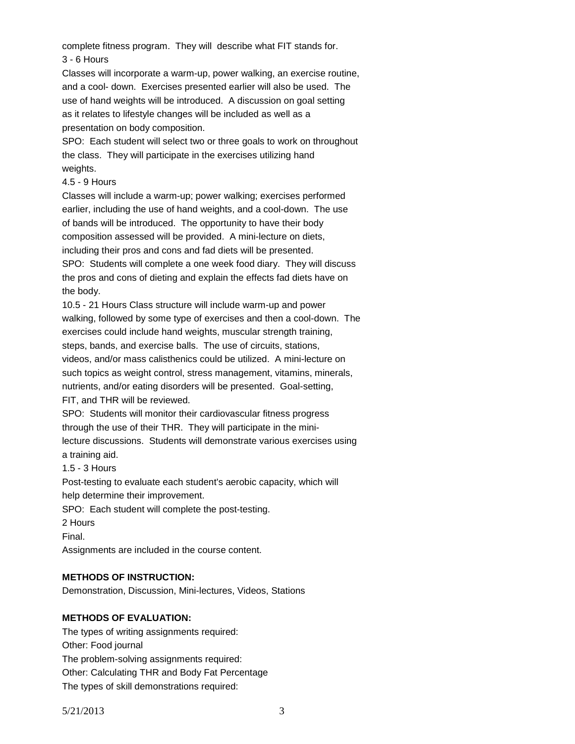complete fitness program. They will describe what FIT stands for. 3 - 6 Hours

Classes will incorporate a warm-up, power walking, an exercise routine, and a cool- down. Exercises presented earlier will also be used. The use of hand weights will be introduced. A discussion on goal setting as it relates to lifestyle changes will be included as well as a presentation on body composition.

SPO: Each student will select two or three goals to work on throughout the class. They will participate in the exercises utilizing hand weights.

#### 4.5 - 9 Hours

Classes will include a warm-up; power walking; exercises performed earlier, including the use of hand weights, and a cool-down. The use of bands will be introduced. The opportunity to have their body composition assessed will be provided. A mini-lecture on diets, including their pros and cons and fad diets will be presented. SPO: Students will complete a one week food diary. They will discuss the pros and cons of dieting and explain the effects fad diets have on the body.

10.5 - 21 Hours Class structure will include warm-up and power walking, followed by some type of exercises and then a cool-down. The exercises could include hand weights, muscular strength training, steps, bands, and exercise balls. The use of circuits, stations, videos, and/or mass calisthenics could be utilized. A mini-lecture on such topics as weight control, stress management, vitamins, minerals, nutrients, and/or eating disorders will be presented. Goal-setting, FIT, and THR will be reviewed.

SPO: Students will monitor their cardiovascular fitness progress through the use of their THR. They will participate in the minilecture discussions. Students will demonstrate various exercises using a training aid.

1.5 - 3 Hours

Post-testing to evaluate each student's aerobic capacity, which will help determine their improvement.

SPO: Each student will complete the post-testing.

2 Hours

Final.

Assignments are included in the course content.

#### **METHODS OF INSTRUCTION:**

Demonstration, Discussion, Mini-lectures, Videos, Stations

#### **METHODS OF EVALUATION:**

The types of writing assignments required: Other: Food journal The problem-solving assignments required: Other: Calculating THR and Body Fat Percentage The types of skill demonstrations required: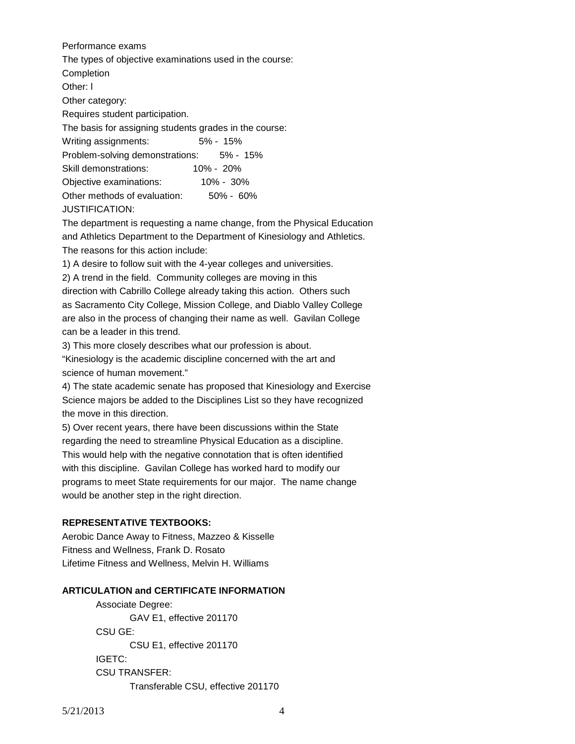Performance exams The types of objective examinations used in the course: **Completion** Other: l Other category: Requires student participation. The basis for assigning students grades in the course: Writing assignments: 5% - 15% Problem-solving demonstrations: 5% - 15% Skill demonstrations: 10% - 20% Objective examinations: 10% - 30% Other methods of evaluation: 50% - 60% JUSTIFICATION:

The department is requesting a name change, from the Physical Education and Athletics Department to the Department of Kinesiology and Athletics. The reasons for this action include:

1) A desire to follow suit with the 4-year colleges and universities.

2) A trend in the field. Community colleges are moving in this direction with Cabrillo College already taking this action. Others such as Sacramento City College, Mission College, and Diablo Valley College are also in the process of changing their name as well. Gavilan College can be a leader in this trend.

3) This more closely describes what our profession is about.

"Kinesiology is the academic discipline concerned with the art and science of human movement."

4) The state academic senate has proposed that Kinesiology and Exercise Science majors be added to the Disciplines List so they have recognized the move in this direction.

5) Over recent years, there have been discussions within the State regarding the need to streamline Physical Education as a discipline. This would help with the negative connotation that is often identified with this discipline. Gavilan College has worked hard to modify our programs to meet State requirements for our major. The name change would be another step in the right direction.

# **REPRESENTATIVE TEXTBOOKS:**

Aerobic Dance Away to Fitness, Mazzeo & Kisselle Fitness and Wellness, Frank D. Rosato Lifetime Fitness and Wellness, Melvin H. Williams

#### **ARTICULATION and CERTIFICATE INFORMATION**

Associate Degree: GAV E1, effective 201170 CSU GE: CSU E1, effective 201170 IGETC: CSU TRANSFER: Transferable CSU, effective 201170